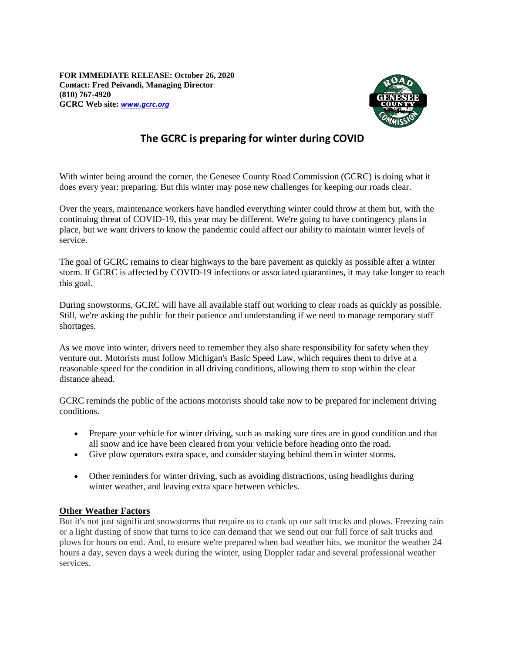**FOR IMMEDIATE RELEASE: October 26, 2020 Contact: Fred Peivandi, Managing Director (810) 767-4920 GCRC Web site:** *[www.gcrc.org](http://www.gcrc.org/)*



## **The GCRC is preparing for winter during COVID**

With winter being around the corner, the Genesee County Road Commission (GCRC) is doing what it does every year: preparing. But this winter may pose new challenges for keeping our roads clear.

Over the years, maintenance workers have handled everything winter could throw at them but, with the continuing threat of COVID-19, this year may be different. We're going to have contingency plans in place, but we want drivers to know the pandemic could affect our ability to maintain winter levels of service.

The goal of GCRC remains to clear highways to the bare pavement as quickly as possible after a winter storm. If GCRC is affected by COVID-19 infections or associated quarantines, it may take longer to reach this goal.

During snowstorms, GCRC will have all available staff out working to clear roads as quickly as possible. Still, we're asking the public for their patience and understanding if we need to manage temporary staff shortages.

As we move into winter, drivers need to remember they also share responsibility for safety when they venture out. Motorists must follow Michigan's Basic Speed Law, which requires them to drive at a reasonable speed for the condition in all driving conditions, allowing them to stop within the clear distance ahead.

GCRC reminds the public of the actions motorists should take now to be prepared for inclement driving conditions.

- Prepare your vehicle for winter driving, such as making sure tires are in good condition and that all snow and ice have been cleared from your vehicle before heading onto the road.
- Give plow operators extra space, and consider staying behind them in winter storms.
- Other reminders for winter driving, such as avoiding distractions, using headlights during winter weather, and leaving extra space between vehicles.

## **Other Weather Factors**

But it's not just significant snowstorms that require us to crank up our salt trucks and plows. Freezing rain or a light dusting of snow that turns to ice can demand that we send out our full force of salt trucks and plows for hours on end. And, to ensure we're prepared when bad weather hits, we monitor the weather 24 hours a day, seven days a week during the winter, using Doppler radar and several professional weather services.